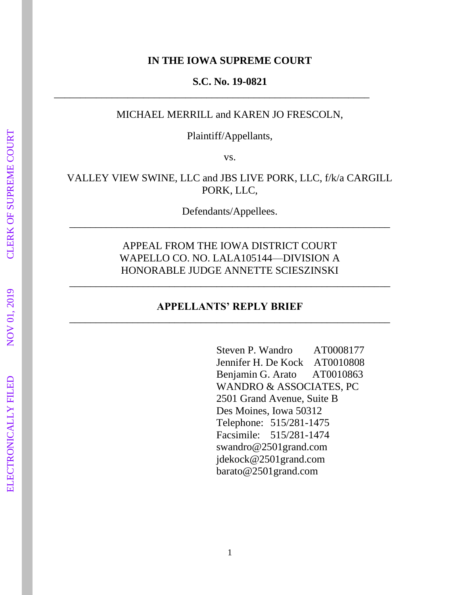#### **IN THE IOWA SUPREME COURT**

#### **S.C. No. 19-0821**

\_\_\_\_\_\_\_\_\_\_\_\_\_\_\_\_\_\_\_\_\_\_\_\_\_\_\_\_\_\_\_\_\_\_\_\_\_\_\_\_\_\_\_\_\_\_\_\_\_\_\_\_\_\_\_\_\_\_\_\_

# MICHAEL MERRILL and KAREN JO FRESCOLN,

Plaintiff/Appellants,

vs.

VALLEY VIEW SWINE, LLC and JBS LIVE PORK, LLC, f/k/a CARGILL PORK, LLC,

Defendants/Appellees. \_\_\_\_\_\_\_\_\_\_\_\_\_\_\_\_\_\_\_\_\_\_\_\_\_\_\_\_\_\_\_\_\_\_\_\_\_\_\_\_\_\_\_\_\_\_\_\_\_\_\_\_\_\_\_\_\_\_\_\_\_

> APPEAL FROM THE IOWA DISTRICT COURT WAPELLO CO. NO. LALA105144—DIVISION A HONORABLE JUDGE ANNETTE SCIESZINSKI

\_\_\_\_\_\_\_\_\_\_\_\_\_\_\_\_\_\_\_\_\_\_\_\_\_\_\_\_\_\_\_\_\_\_\_\_\_\_\_\_\_\_\_\_\_\_\_\_\_\_\_\_\_\_\_\_\_\_\_\_\_

# **APPELLANTS' REPLY BRIEF**  \_\_\_\_\_\_\_\_\_\_\_\_\_\_\_\_\_\_\_\_\_\_\_\_\_\_\_\_\_\_\_\_\_\_\_\_\_\_\_\_\_\_\_\_\_\_\_\_\_\_\_\_\_\_\_\_\_\_\_\_\_

Steven P. Wandro AT0008177 Jennifer H. De Kock AT0010808 Benjamin G. Arato AT0010863 WANDRO & ASSOCIATES, PC 2501 Grand Avenue, Suite B Des Moines, Iowa 50312 Telephone: 515/281-1475 Facsimile: 515/281-1474 swandro@2501grand.com jdekock@2501grand.com barato@2501grand.com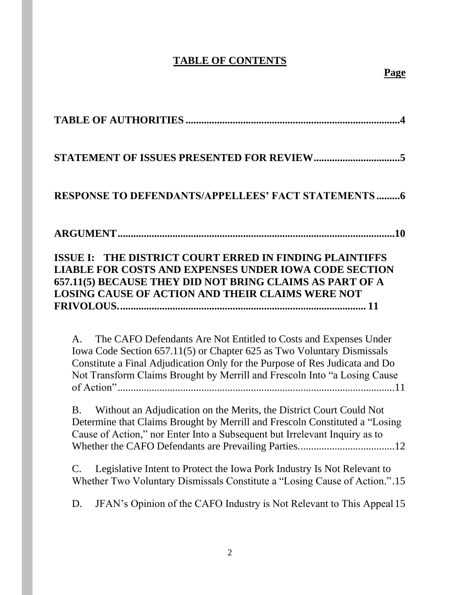# **TABLE OF CONTENTS**

| <b>RESPONSE TO DEFENDANTS/APPELLEES' FACT STATEMENTS6</b>                                                                                                                                                                                                                                                                |
|--------------------------------------------------------------------------------------------------------------------------------------------------------------------------------------------------------------------------------------------------------------------------------------------------------------------------|
|                                                                                                                                                                                                                                                                                                                          |
| ISSUE I: THE DISTRICT COURT ERRED IN FINDING PLAINTIFFS<br><b>LIABLE FOR COSTS AND EXPENSES UNDER IOWA CODE SECTION</b><br>657.11(5) BECAUSE THEY DID NOT BRING CLAIMS AS PART OF A<br><b>LOSING CAUSE OF ACTION AND THEIR CLAIMS WERE NOT</b>                                                                           |
| The CAFO Defendants Are Not Entitled to Costs and Expenses Under<br>$\mathsf{A}$ .<br>Iowa Code Section 657.11(5) or Chapter 625 as Two Voluntary Dismissals<br>Constitute a Final Adjudication Only for the Purpose of Res Judicata and Do<br>Not Transform Claims Brought by Merrill and Frescoln Into "a Losing Cause |
| Without an Adjudication on the Merits, the District Court Could Not<br><b>B.</b><br>Determine that Claims Brought by Merrill and Frescoln Constituted a "Losing<br>Cause of Action," nor Enter Into a Subsequent but Irrelevant Inquiry as to                                                                            |
| Legislative Intent to Protect the Iowa Pork Industry Is Not Relevant to<br>$\mathsf{C}.$<br>Whether Two Voluntary Dismissals Constitute a "Losing Cause of Action.".15                                                                                                                                                   |
| JFAN's Opinion of the CAFO Industry is Not Relevant to This Appeal 15<br>D.                                                                                                                                                                                                                                              |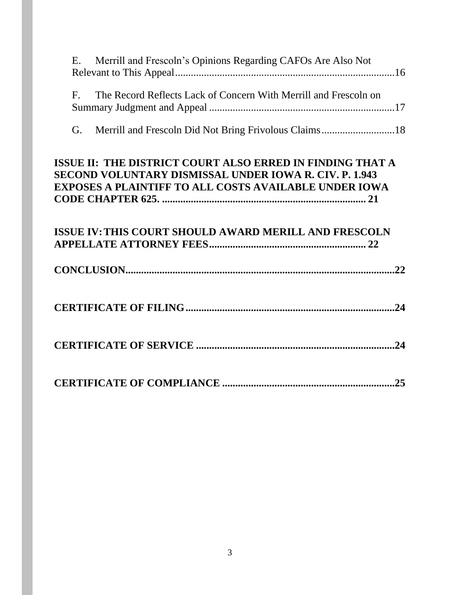| Е.          | Merrill and Frescoln's Opinions Regarding CAFOs Are Also Not                                                                                                                        |  |
|-------------|-------------------------------------------------------------------------------------------------------------------------------------------------------------------------------------|--|
| $F_{\cdot}$ | The Record Reflects Lack of Concern With Merrill and Frescoln on                                                                                                                    |  |
| G.          | Merrill and Frescoln Did Not Bring Frivolous Claims18                                                                                                                               |  |
|             | ISSUE II: THE DISTRICT COURT ALSO ERRED IN FINDING THAT A<br>SECOND VOLUNTARY DISMISSAL UNDER IOWA R. CIV. P. 1.943<br><b>EXPOSES A PLAINTIFF TO ALL COSTS AVAILABLE UNDER IOWA</b> |  |
|             | <b>ISSUE IV: THIS COURT SHOULD AWARD MERILL AND FRESCOLN</b>                                                                                                                        |  |
|             |                                                                                                                                                                                     |  |
|             |                                                                                                                                                                                     |  |
|             |                                                                                                                                                                                     |  |
|             |                                                                                                                                                                                     |  |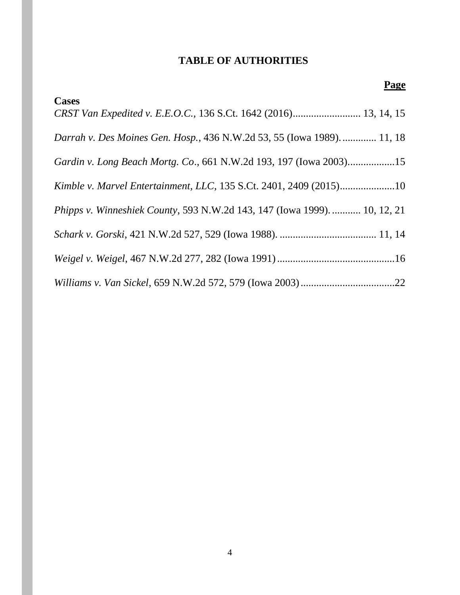# **TABLE OF AUTHORITIES**

<span id="page-3-0"></span>

| Page                                                                             |
|----------------------------------------------------------------------------------|
| <b>Cases</b><br>CRST Van Expedited v. E.E.O.C., 136 S.Ct. 1642 (2016) 13, 14, 15 |
| Darrah v. Des Moines Gen. Hosp., 436 N.W.2d 53, 55 (Iowa 1989).  11, 18          |
| Gardin v. Long Beach Mortg. Co., 661 N.W.2d 193, 197 (Iowa 2003)15               |
| Kimble v. Marvel Entertainment, LLC, 135 S.Ct. 2401, 2409 (2015)10               |
| Phipps v. Winneshiek County, 593 N.W.2d 143, 147 (Iowa 1999).  10, 12, 21        |
|                                                                                  |
|                                                                                  |
|                                                                                  |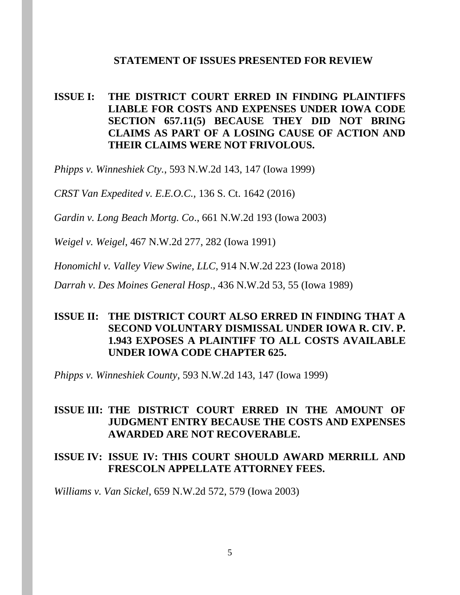#### **STATEMENT OF ISSUES PRESENTED FOR REVIEW**

# <span id="page-4-0"></span>**ISSUE I: THE DISTRICT COURT ERRED IN FINDING PLAINTIFFS LIABLE FOR COSTS AND EXPENSES UNDER IOWA CODE SECTION 657.11(5) BECAUSE THEY DID NOT BRING CLAIMS AS PART OF A LOSING CAUSE OF ACTION AND THEIR CLAIMS WERE NOT FRIVOLOUS.**

*Phipps v. Winneshiek Cty.*, 593 N.W.2d 143, 147 (Iowa 1999)

*CRST Van Expedited v. E.E.O.C.,* 136 S. Ct. 1642 (2016)

*Gardin v. Long Beach Mortg. Co*., 661 N.W.2d 193 (Iowa 2003)

*Weigel v. Weigel*, 467 N.W.2d 277, 282 (Iowa 1991)

*Honomichl v. Valley View Swine, LLC*, 914 N.W.2d 223 (Iowa 2018)

*Darrah v. Des Moines General Hosp*., 436 N.W.2d 53, 55 (Iowa 1989)

# **ISSUE II: THE DISTRICT COURT ALSO ERRED IN FINDING THAT A SECOND VOLUNTARY DISMISSAL UNDER IOWA R. CIV. P. 1.943 EXPOSES A PLAINTIFF TO ALL COSTS AVAILABLE UNDER IOWA CODE CHAPTER 625.**

*Phipps v. Winneshiek County*, 593 N.W.2d 143, 147 (Iowa 1999)

### **ISSUE III: THE DISTRICT COURT ERRED IN THE AMOUNT OF JUDGMENT ENTRY BECAUSE THE COSTS AND EXPENSES AWARDED ARE NOT RECOVERABLE.**

### **ISSUE IV: ISSUE IV: THIS COURT SHOULD AWARD MERRILL AND FRESCOLN APPELLATE ATTORNEY FEES.**

*Williams v. Van Sickel*, 659 N.W.2d 572, 579 (Iowa 2003)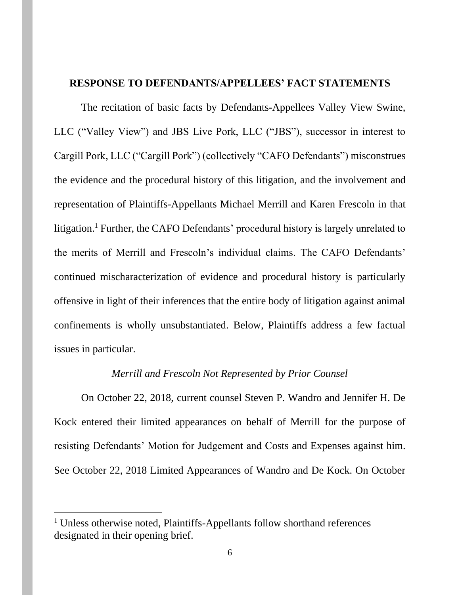### <span id="page-5-0"></span>**RESPONSE TO DEFENDANTS/APPELLEES' FACT STATEMENTS**

The recitation of basic facts by Defendants-Appellees Valley View Swine, LLC ("Valley View") and JBS Live Pork, LLC ("JBS"), successor in interest to Cargill Pork, LLC ("Cargill Pork") (collectively "CAFO Defendants") misconstrues the evidence and the procedural history of this litigation, and the involvement and representation of Plaintiffs-Appellants Michael Merrill and Karen Frescoln in that litigation.<sup>1</sup> Further, the CAFO Defendants' procedural history is largely unrelated to the merits of Merrill and Frescoln's individual claims. The CAFO Defendants' continued mischaracterization of evidence and procedural history is particularly offensive in light of their inferences that the entire body of litigation against animal confinements is wholly unsubstantiated. Below, Plaintiffs address a few factual issues in particular.

#### *Merrill and Frescoln Not Represented by Prior Counsel*

On October 22, 2018, current counsel Steven P. Wandro and Jennifer H. De Kock entered their limited appearances on behalf of Merrill for the purpose of resisting Defendants' Motion for Judgement and Costs and Expenses against him. See October 22, 2018 Limited Appearances of Wandro and De Kock. On October

<sup>&</sup>lt;sup>1</sup> Unless otherwise noted, Plaintiffs-Appellants follow shorthand references designated in their opening brief.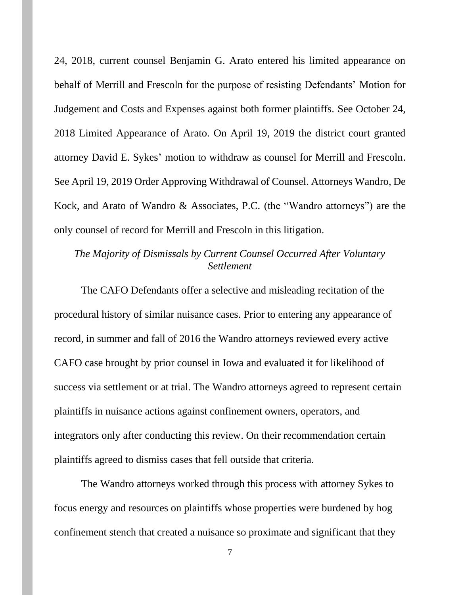24, 2018, current counsel Benjamin G. Arato entered his limited appearance on behalf of Merrill and Frescoln for the purpose of resisting Defendants' Motion for Judgement and Costs and Expenses against both former plaintiffs. See October 24, 2018 Limited Appearance of Arato. On April 19, 2019 the district court granted attorney David E. Sykes' motion to withdraw as counsel for Merrill and Frescoln. See April 19, 2019 Order Approving Withdrawal of Counsel. Attorneys Wandro, De Kock, and Arato of Wandro & Associates, P.C. (the "Wandro attorneys") are the only counsel of record for Merrill and Frescoln in this litigation.

# *The Majority of Dismissals by Current Counsel Occurred After Voluntary Settlement*

The CAFO Defendants offer a selective and misleading recitation of the procedural history of similar nuisance cases. Prior to entering any appearance of record, in summer and fall of 2016 the Wandro attorneys reviewed every active CAFO case brought by prior counsel in Iowa and evaluated it for likelihood of success via settlement or at trial. The Wandro attorneys agreed to represent certain plaintiffs in nuisance actions against confinement owners, operators, and integrators only after conducting this review. On their recommendation certain plaintiffs agreed to dismiss cases that fell outside that criteria.

The Wandro attorneys worked through this process with attorney Sykes to focus energy and resources on plaintiffs whose properties were burdened by hog confinement stench that created a nuisance so proximate and significant that they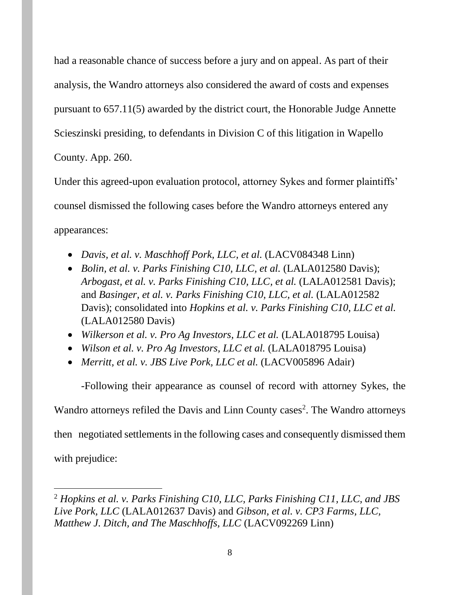had a reasonable chance of success before a jury and on appeal. As part of their analysis, the Wandro attorneys also considered the award of costs and expenses pursuant to 657.11(5) awarded by the district court, the Honorable Judge Annette Scieszinski presiding, to defendants in Division C of this litigation in Wapello County. App. 260.

Under this agreed-upon evaluation protocol, attorney Sykes and former plaintiffs' counsel dismissed the following cases before the Wandro attorneys entered any appearances:

- *Davis, et al. v. Maschhoff Pork, LLC, et al.* (LACV084348 Linn)
- *Bolin, et al. v. Parks Finishing C10, LLC, et al.* (LALA012580 Davis); *Arbogast, et al. v. Parks Finishing C10, LLC, et al.* (LALA012581 Davis); and *Basinger, et al. v. Parks Finishing C10, LLC, et al.* (LALA012582 Davis); consolidated into *Hopkins et al. v. Parks Finishing C10, LLC et al.* (LALA012580 Davis)
- *Wilkerson et al. v. Pro Ag Investors, LLC et al.* (LALA018795 Louisa)
- *Wilson et al. v. Pro Ag Investors, LLC et al.* (LALA018795 Louisa)
- *Merritt, et al. v. JBS Live Pork, LLC et al.* (LACV005896 Adair)

-Following their appearance as counsel of record with attorney Sykes, the

Wandro attorneys refiled the Davis and Linn County cases<sup>2</sup>. The Wandro attorneys

then negotiated settlements in the following cases and consequently dismissed them

with prejudice:

<sup>2</sup> *Hopkins et al. v. Parks Finishing C10, LLC, Parks Finishing C11, LLC, and JBS Live Pork, LLC* (LALA012637 Davis) and *Gibson, et al. v. CP3 Farms, LLC, Matthew J. Ditch, and The Maschhoffs, LLC* (LACV092269 Linn)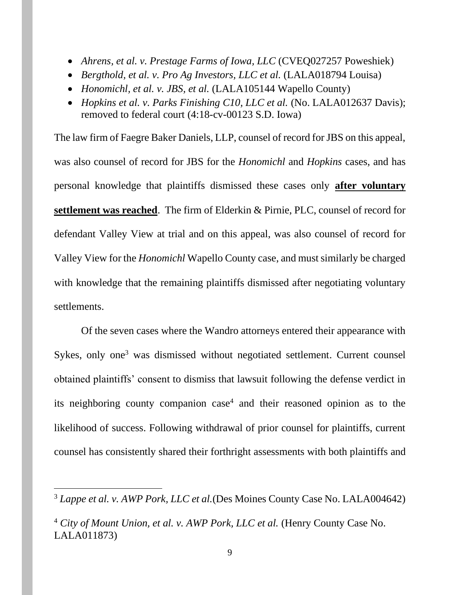- *Ahrens, et al. v. Prestage Farms of Iowa, LLC* (CVEQ027257 Poweshiek)
- *Bergthold, et al. v. Pro Ag Investors, LLC et al.* (LALA018794 Louisa)
- *Honomichl, et al. v. JBS, et al.* (LALA105144 Wapello County)
- *Hopkins et al. v. Parks Finishing C10, LLC et al.* (No. LALA012637 Davis); removed to federal court (4:18-cv-00123 S.D. Iowa)

The law firm of Faegre Baker Daniels, LLP, counsel of record for JBS on this appeal, was also counsel of record for JBS for the *Honomichl* and *Hopkins* cases, and has personal knowledge that plaintiffs dismissed these cases only **after voluntary settlement was reached**. The firm of Elderkin & Pirnie, PLC, counsel of record for defendant Valley View at trial and on this appeal, was also counsel of record for Valley View for the *Honomichl* Wapello County case, and must similarly be charged with knowledge that the remaining plaintiffs dismissed after negotiating voluntary settlements.

Of the seven cases where the Wandro attorneys entered their appearance with Sykes, only one<sup>3</sup> was dismissed without negotiated settlement. Current counsel obtained plaintiffs' consent to dismiss that lawsuit following the defense verdict in its neighboring county companion case<sup>4</sup> and their reasoned opinion as to the likelihood of success. Following withdrawal of prior counsel for plaintiffs, current counsel has consistently shared their forthright assessments with both plaintiffs and

<sup>3</sup> *Lappe et al. v. AWP Pork, LLC et al.*(Des Moines County Case No. LALA004642)

<sup>&</sup>lt;sup>4</sup> City of Mount Union, et al. v. AWP Pork, LLC et al. (Henry County Case No. LALA011873)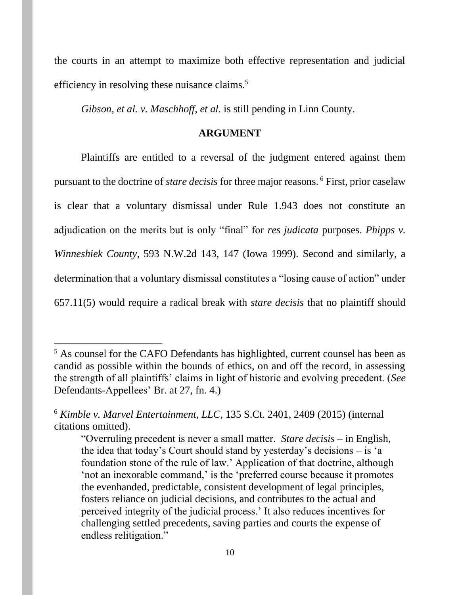the courts in an attempt to maximize both effective representation and judicial efficiency in resolving these nuisance claims.<sup>5</sup>

*Gibson, et al. v. Maschhoff, et al.* is still pending in Linn County.

#### **ARGUMENT**

<span id="page-9-0"></span>Plaintiffs are entitled to a reversal of the judgment entered against them pursuant to the doctrine of *stare decisis* for three major reasons. <sup>6</sup> First, prior caselaw is clear that a voluntary dismissal under Rule 1.943 does not constitute an adjudication on the merits but is only "final" for *res judicata* purposes. *Phipps v. Winneshiek County*, 593 N.W.2d 143, 147 (Iowa 1999). Second and similarly, a determination that a voluntary dismissal constitutes a "losing cause of action" under 657.11(5) would require a radical break with *stare decisis* that no plaintiff should

<sup>&</sup>lt;sup>5</sup> As counsel for the CAFO Defendants has highlighted, current counsel has been as candid as possible within the bounds of ethics, on and off the record, in assessing the strength of all plaintiffs' claims in light of historic and evolving precedent. (*See* Defendants-Appellees' Br. at 27, fn. 4.)

<sup>6</sup> *Kimble v. Marvel Entertainment, LLC*, 135 S.Ct. 2401, 2409 (2015) (internal citations omitted).

<sup>&</sup>quot;Overruling precedent is never a small matter. *Stare decisis* – in English, the idea that today's Court should stand by yesterday's decisions – is 'a foundation stone of the rule of law.' Application of that doctrine, although 'not an inexorable command,' is the 'preferred course because it promotes the evenhanded, predictable, consistent development of legal principles, fosters reliance on judicial decisions, and contributes to the actual and perceived integrity of the judicial process.' It also reduces incentives for challenging settled precedents, saving parties and courts the expense of endless relitigation."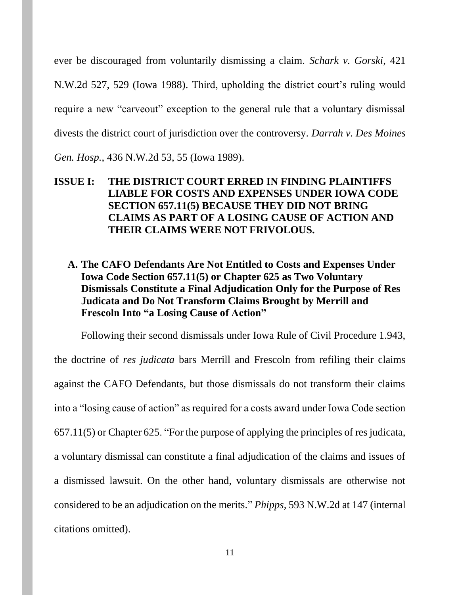ever be discouraged from voluntarily dismissing a claim. *Schark v. Gorski*, 421 N.W.2d 527, 529 (Iowa 1988). Third, upholding the district court's ruling would require a new "carveout" exception to the general rule that a voluntary dismissal divests the district court of jurisdiction over the controversy. *Darrah v. Des Moines Gen. Hosp.*, 436 N.W.2d 53, 55 (Iowa 1989).

# <span id="page-10-0"></span>**ISSUE I: THE DISTRICT COURT ERRED IN FINDING PLAINTIFFS LIABLE FOR COSTS AND EXPENSES UNDER IOWA CODE SECTION 657.11(5) BECAUSE THEY DID NOT BRING CLAIMS AS PART OF A LOSING CAUSE OF ACTION AND THEIR CLAIMS WERE NOT FRIVOLOUS.**

<span id="page-10-1"></span>**A. The CAFO Defendants Are Not Entitled to Costs and Expenses Under Iowa Code Section 657.11(5) or Chapter 625 as Two Voluntary Dismissals Constitute a Final Adjudication Only for the Purpose of Res Judicata and Do Not Transform Claims Brought by Merrill and Frescoln Into "a Losing Cause of Action"**

Following their second dismissals under Iowa Rule of Civil Procedure 1.943, the doctrine of *res judicata* bars Merrill and Frescoln from refiling their claims against the CAFO Defendants, but those dismissals do not transform their claims into a "losing cause of action" as required for a costs award under Iowa Code section 657.11(5) or Chapter 625. "For the purpose of applying the principles of res judicata, a voluntary dismissal can constitute a final adjudication of the claims and issues of a dismissed lawsuit. On the other hand, voluntary dismissals are otherwise not considered to be an adjudication on the merits." *Phipps,* 593 N.W.2d at 147 (internal citations omitted).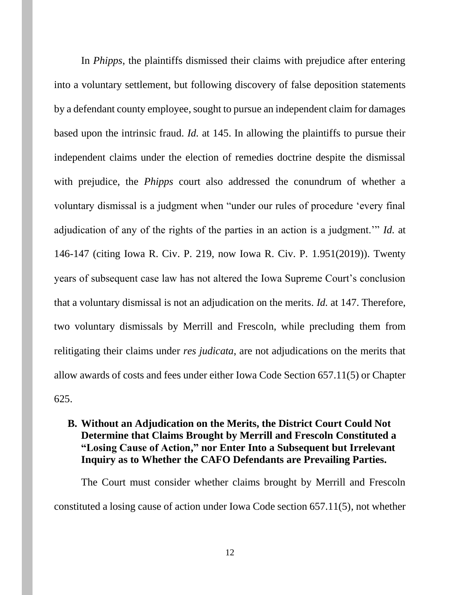In *Phipps*, the plaintiffs dismissed their claims with prejudice after entering into a voluntary settlement, but following discovery of false deposition statements by a defendant county employee, sought to pursue an independent claim for damages based upon the intrinsic fraud. *Id.* at 145. In allowing the plaintiffs to pursue their independent claims under the election of remedies doctrine despite the dismissal with prejudice, the *Phipps* court also addressed the conundrum of whether a voluntary dismissal is a judgment when "under our rules of procedure 'every final adjudication of any of the rights of the parties in an action is a judgment.'" *Id.* at 146-147 (citing Iowa R. Civ. P. 219, now Iowa R. Civ. P. 1.951(2019)). Twenty years of subsequent case law has not altered the Iowa Supreme Court's conclusion that a voluntary dismissal is not an adjudication on the merits. *Id.* at 147. Therefore, two voluntary dismissals by Merrill and Frescoln, while precluding them from relitigating their claims under *res judicata*, are not adjudications on the merits that allow awards of costs and fees under either Iowa Code Section 657.11(5) or Chapter 625.

# <span id="page-11-0"></span>**B. Without an Adjudication on the Merits, the District Court Could Not Determine that Claims Brought by Merrill and Frescoln Constituted a "Losing Cause of Action, " nor Enter Into a Subsequent but Irrelevant Inquiry as to Whether the CAFO Defendants are Prevailing Parties.**

The Court must consider whether claims brought by Merrill and Frescoln constituted a losing cause of action under Iowa Code section 657.11(5), not whether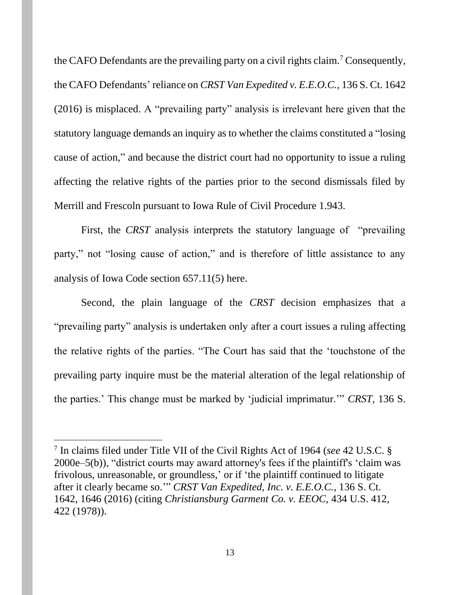the CAFO Defendants are the prevailing party on a civil rights claim.<sup>7</sup> Consequently, the CAFO Defendants' reliance on *CRST Van Expedited v. E.E.O.C.,* 136 S. Ct. 1642 (2016) is misplaced. A "prevailing party" analysis is irrelevant here given that the statutory language demands an inquiry as to whether the claims constituted a "losing cause of action," and because the district court had no opportunity to issue a ruling affecting the relative rights of the parties prior to the second dismissals filed by Merrill and Frescoln pursuant to Iowa Rule of Civil Procedure 1.943.

First, the *CRST* analysis interprets the statutory language of "prevailing" party," not "losing cause of action," and is therefore of little assistance to any analysis of Iowa Code section 657.11(5) here.

Second, the plain language of the *CRST* decision emphasizes that a "prevailing party" analysis is undertaken only after a court issues a ruling affecting the relative rights of the parties. "The Court has said that the 'touchstone of the prevailing party inquire must be the material alteration of the legal relationship of the parties.' This change must be marked by 'judicial imprimatur.'" *CRST,* 136 S.

<sup>7</sup> In claims filed under Title VII of the Civil Rights Act of 1964 (*see* 42 U.S.C. § 2000e–5(b)), "district courts may award attorney's fees if the plaintiff's 'claim was frivolous, unreasonable, or groundless,' or if 'the plaintiff continued to litigate after it clearly became so.'" *CRST Van Expedited, Inc. v. E.E.O.C.*, 136 S. Ct. 1642, 1646 (2016) (citing *Christiansburg Garment Co. v. EEOC,* 434 U.S. 412, 422 (1978)).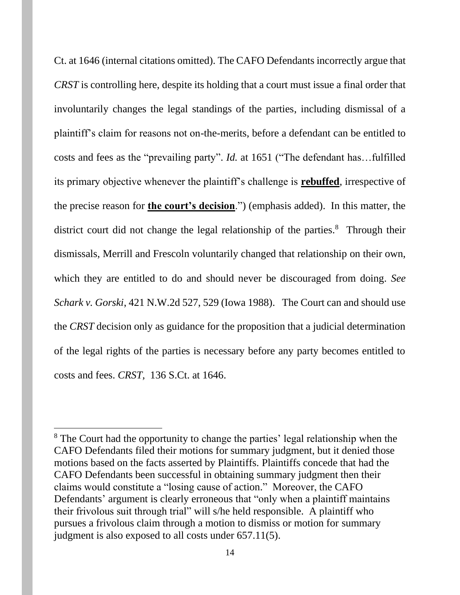Ct. at 1646 (internal citations omitted). The CAFO Defendants incorrectly argue that *CRST* is controlling here, despite its holding that a court must issue a final order that involuntarily changes the legal standings of the parties, including dismissal of a plaintiff's claim for reasons not on-the-merits, before a defendant can be entitled to costs and fees as the "prevailing party". *Id.* at 1651 ("The defendant has…fulfilled its primary objective whenever the plaintiff's challenge is **rebuffed**, irrespective of the precise reason for **the court's decision**.") (emphasis added). In this matter, the district court did not change the legal relationship of the parties.<sup>8</sup> Through their dismissals, Merrill and Frescoln voluntarily changed that relationship on their own, which they are entitled to do and should never be discouraged from doing. *See Schark v. Gorski*, 421 N.W.2d 527, 529 (Iowa 1988). The Court can and should use the *CRST* decision only as guidance for the proposition that a judicial determination of the legal rights of the parties is necessary before any party becomes entitled to costs and fees. *CRST,* 136 S.Ct. at 1646.

<sup>&</sup>lt;sup>8</sup> The Court had the opportunity to change the parties' legal relationship when the CAFO Defendants filed their motions for summary judgment, but it denied those motions based on the facts asserted by Plaintiffs. Plaintiffs concede that had the CAFO Defendants been successful in obtaining summary judgment then their claims would constitute a "losing cause of action." Moreover, the CAFO Defendants' argument is clearly erroneous that "only when a plaintiff maintains their frivolous suit through trial" will s/he held responsible. A plaintiff who pursues a frivolous claim through a motion to dismiss or motion for summary judgment is also exposed to all costs under 657.11(5).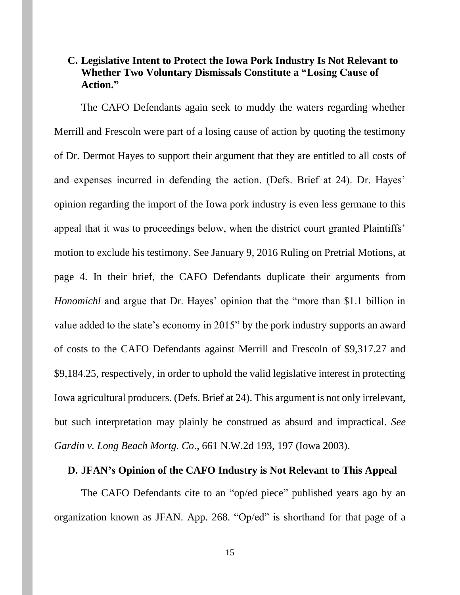# <span id="page-14-0"></span>**C. Legislative Intent to Protect the Iowa Pork Industry Is Not Relevant to Whether Two Voluntary Dismissals Constitute a "Losing Cause of Action."**

The CAFO Defendants again seek to muddy the waters regarding whether Merrill and Frescoln were part of a losing cause of action by quoting the testimony of Dr. Dermot Hayes to support their argument that they are entitled to all costs of and expenses incurred in defending the action. (Defs. Brief at 24). Dr. Hayes' opinion regarding the import of the Iowa pork industry is even less germane to this appeal that it was to proceedings below, when the district court granted Plaintiffs' motion to exclude his testimony. See January 9, 2016 Ruling on Pretrial Motions, at page 4. In their brief, the CAFO Defendants duplicate their arguments from *Honomichl* and argue that Dr. Hayes' opinion that the "more than \$1.1 billion in value added to the state's economy in 2015" by the pork industry supports an award of costs to the CAFO Defendants against Merrill and Frescoln of \$9,317.27 and \$9,184.25, respectively, in order to uphold the valid legislative interest in protecting Iowa agricultural producers. (Defs. Brief at 24). This argument is not only irrelevant, but such interpretation may plainly be construed as absurd and impractical. *See Gardin v. Long Beach Mortg. Co*., 661 N.W.2d 193, 197 (Iowa 2003).

#### <span id="page-14-1"></span>**D. JFAN's Opinion of the CAFO Industry is Not Relevant to This Appeal**

The CAFO Defendants cite to an "op/ed piece" published years ago by an organization known as JFAN. App. 268. "Op/ed" is shorthand for that page of a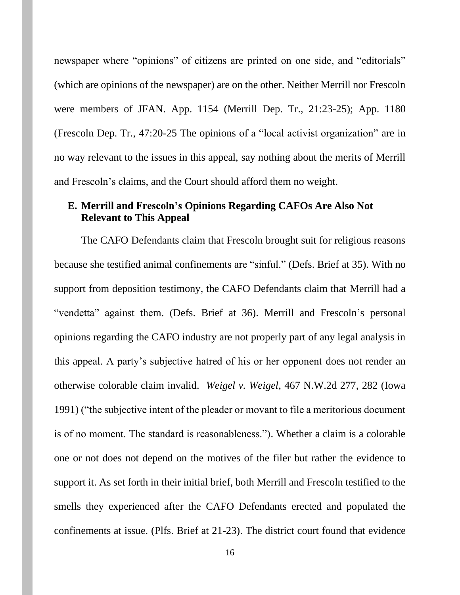newspaper where "opinions" of citizens are printed on one side, and "editorials" (which are opinions of the newspaper) are on the other. Neither Merrill nor Frescoln were members of JFAN. App. 1154 (Merrill Dep. Tr., 21:23-25); App. 1180 (Frescoln Dep. Tr., 47:20-25 The opinions of a "local activist organization" are in no way relevant to the issues in this appeal, say nothing about the merits of Merrill and Frescoln's claims, and the Court should afford them no weight.

# <span id="page-15-0"></span>**E. Merrill and Frescoln's Opinions Regarding CAFOs Are Also Not Relevant to This Appeal**

The CAFO Defendants claim that Frescoln brought suit for religious reasons because she testified animal confinements are "sinful." (Defs. Brief at 35). With no support from deposition testimony, the CAFO Defendants claim that Merrill had a "vendetta" against them. (Defs. Brief at 36). Merrill and Frescoln's personal opinions regarding the CAFO industry are not properly part of any legal analysis in this appeal. A party's subjective hatred of his or her opponent does not render an otherwise colorable claim invalid. *Weigel v. Weigel*, 467 N.W.2d 277, 282 (Iowa 1991) ("the subjective intent of the pleader or movant to file a meritorious document is of no moment. The standard is reasonableness."). Whether a claim is a colorable one or not does not depend on the motives of the filer but rather the evidence to support it. As set forth in their initial brief, both Merrill and Frescoln testified to the smells they experienced after the CAFO Defendants erected and populated the confinements at issue. (Plfs. Brief at 21-23). The district court found that evidence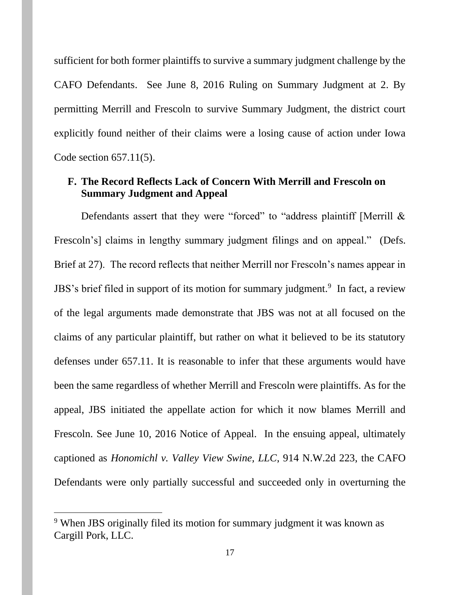sufficient for both former plaintiffs to survive a summary judgment challenge by the CAFO Defendants. See June 8, 2016 Ruling on Summary Judgment at 2. By permitting Merrill and Frescoln to survive Summary Judgment, the district court explicitly found neither of their claims were a losing cause of action under Iowa Code section 657.11(5).

## <span id="page-16-0"></span>**F. The Record Reflects Lack of Concern With Merrill and Frescoln on Summary Judgment and Appeal**

Defendants assert that they were "forced" to "address plaintiff [Merrill & Frescoln's] claims in lengthy summary judgment filings and on appeal." (Defs. Brief at 27). The record reflects that neither Merrill nor Frescoln's names appear in JBS's brief filed in support of its motion for summary judgment.<sup>9</sup> In fact, a review of the legal arguments made demonstrate that JBS was not at all focused on the claims of any particular plaintiff, but rather on what it believed to be its statutory defenses under 657.11. It is reasonable to infer that these arguments would have been the same regardless of whether Merrill and Frescoln were plaintiffs. As for the appeal, JBS initiated the appellate action for which it now blames Merrill and Frescoln. See June 10, 2016 Notice of Appeal. In the ensuing appeal, ultimately captioned as *Honomichl v. Valley View Swine, LLC*, 914 N.W.2d 223, the CAFO Defendants were only partially successful and succeeded only in overturning the

<sup>&</sup>lt;sup>9</sup> When JBS originally filed its motion for summary judgment it was known as Cargill Pork, LLC.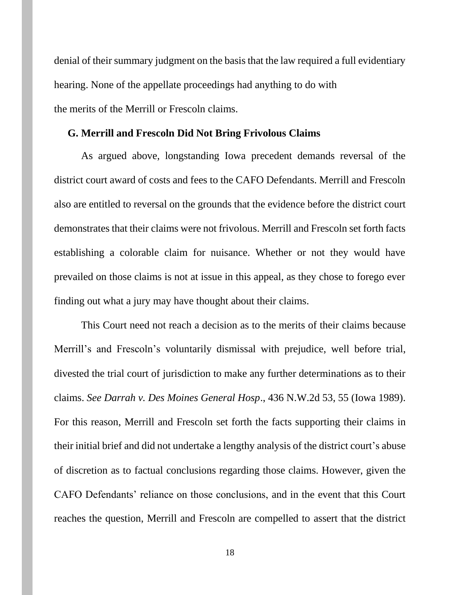denial of their summary judgment on the basis that the law required a full evidentiary hearing. None of the appellate proceedings had anything to do with the merits of the Merrill or Frescoln claims.

#### <span id="page-17-0"></span>**G. Merrill and Frescoln Did Not Bring Frivolous Claims**

As argued above, longstanding Iowa precedent demands reversal of the district court award of costs and fees to the CAFO Defendants. Merrill and Frescoln also are entitled to reversal on the grounds that the evidence before the district court demonstrates that their claims were not frivolous. Merrill and Frescoln set forth facts establishing a colorable claim for nuisance. Whether or not they would have prevailed on those claims is not at issue in this appeal, as they chose to forego ever finding out what a jury may have thought about their claims.

This Court need not reach a decision as to the merits of their claims because Merrill's and Frescoln's voluntarily dismissal with prejudice, well before trial, divested the trial court of jurisdiction to make any further determinations as to their claims. *See Darrah v. Des Moines General Hosp*., 436 N.W.2d 53, 55 (Iowa 1989). For this reason, Merrill and Frescoln set forth the facts supporting their claims in their initial brief and did not undertake a lengthy analysis of the district court's abuse of discretion as to factual conclusions regarding those claims. However, given the CAFO Defendants' reliance on those conclusions, and in the event that this Court reaches the question, Merrill and Frescoln are compelled to assert that the district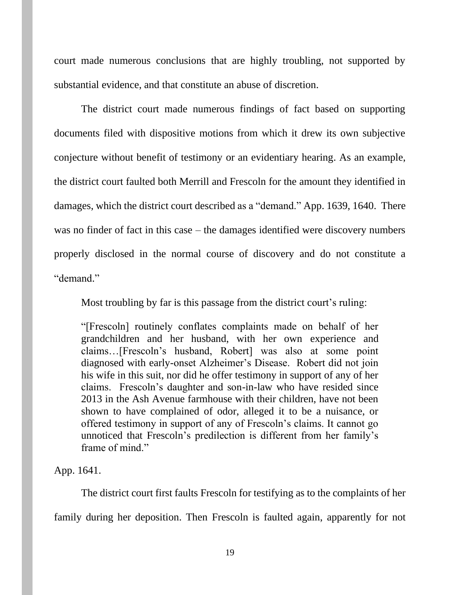court made numerous conclusions that are highly troubling, not supported by substantial evidence, and that constitute an abuse of discretion.

The district court made numerous findings of fact based on supporting documents filed with dispositive motions from which it drew its own subjective conjecture without benefit of testimony or an evidentiary hearing. As an example, the district court faulted both Merrill and Frescoln for the amount they identified in damages, which the district court described as a "demand." App. 1639, 1640. There was no finder of fact in this case – the damages identified were discovery numbers properly disclosed in the normal course of discovery and do not constitute a "demand"

Most troubling by far is this passage from the district court's ruling:

"[Frescoln] routinely conflates complaints made on behalf of her grandchildren and her husband, with her own experience and claims…[Frescoln's husband, Robert] was also at some point diagnosed with early-onset Alzheimer's Disease. Robert did not join his wife in this suit, nor did he offer testimony in support of any of her claims. Frescoln's daughter and son-in-law who have resided since 2013 in the Ash Avenue farmhouse with their children, have not been shown to have complained of odor, alleged it to be a nuisance, or offered testimony in support of any of Frescoln's claims. It cannot go unnoticed that Frescoln's predilection is different from her family's frame of mind."

App. 1641.

The district court first faults Frescoln for testifying as to the complaints of her family during her deposition. Then Frescoln is faulted again, apparently for not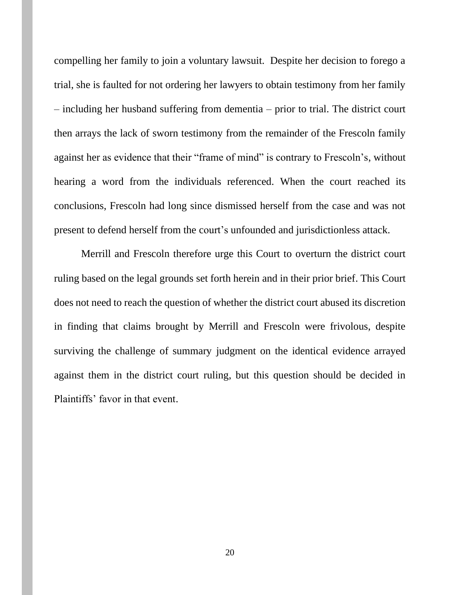compelling her family to join a voluntary lawsuit. Despite her decision to forego a trial, she is faulted for not ordering her lawyers to obtain testimony from her family – including her husband suffering from dementia – prior to trial. The district court then arrays the lack of sworn testimony from the remainder of the Frescoln family against her as evidence that their "frame of mind" is contrary to Frescoln's, without hearing a word from the individuals referenced. When the court reached its conclusions, Frescoln had long since dismissed herself from the case and was not present to defend herself from the court's unfounded and jurisdictionless attack.

Merrill and Frescoln therefore urge this Court to overturn the district court ruling based on the legal grounds set forth herein and in their prior brief. This Court does not need to reach the question of whether the district court abused its discretion in finding that claims brought by Merrill and Frescoln were frivolous, despite surviving the challenge of summary judgment on the identical evidence arrayed against them in the district court ruling, but this question should be decided in Plaintiffs' favor in that event.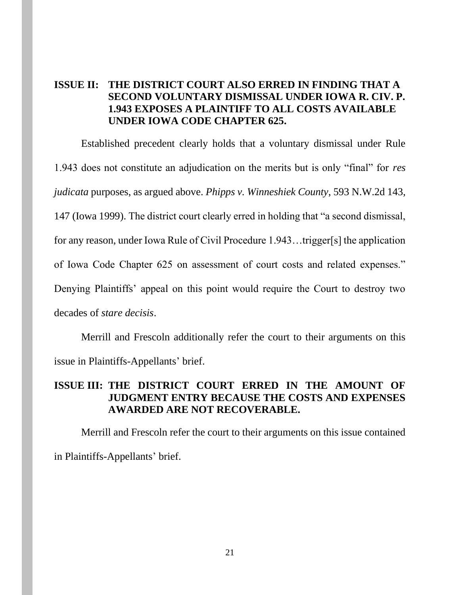# <span id="page-20-0"></span>**ISSUE II: THE DISTRICT COURT ALSO ERRED IN FINDING THAT A SECOND VOLUNTARY DISMISSAL UNDER IOWA R. CIV. P. 1.943 EXPOSES A PLAINTIFF TO ALL COSTS AVAILABLE UNDER IOWA CODE CHAPTER 625.**

Established precedent clearly holds that a voluntary dismissal under Rule 1.943 does not constitute an adjudication on the merits but is only "final" for *res judicata* purposes, as argued above. *Phipps v. Winneshiek County*, 593 N.W.2d 143, 147 (Iowa 1999). The district court clearly erred in holding that "a second dismissal, for any reason, under Iowa Rule of Civil Procedure 1.943…trigger[s] the application of Iowa Code Chapter 625 on assessment of court costs and related expenses." Denying Plaintiffs' appeal on this point would require the Court to destroy two decades of *stare decisis*.

Merrill and Frescoln additionally refer the court to their arguments on this issue in Plaintiffs-Appellants' brief.

# **ISSUE III: THE DISTRICT COURT ERRED IN THE AMOUNT OF JUDGMENT ENTRY BECAUSE THE COSTS AND EXPENSES AWARDED ARE NOT RECOVERABLE.**

Merrill and Frescoln refer the court to their arguments on this issue contained in Plaintiffs-Appellants' brief.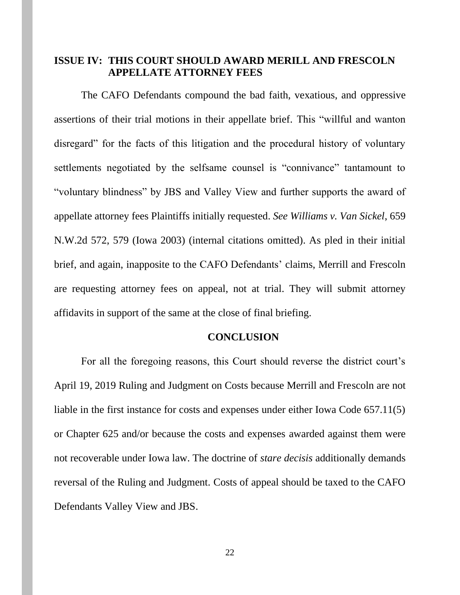### <span id="page-21-0"></span>**ISSUE IV: THIS COURT SHOULD AWARD MERILL AND FRESCOLN APPELLATE ATTORNEY FEES**

The CAFO Defendants compound the bad faith, vexatious, and oppressive assertions of their trial motions in their appellate brief. This "willful and wanton disregard" for the facts of this litigation and the procedural history of voluntary settlements negotiated by the selfsame counsel is "connivance" tantamount to "voluntary blindness" by JBS and Valley View and further supports the award of appellate attorney fees Plaintiffs initially requested. *See Williams v. Van Sickel*, 659 N.W.2d 572, 579 (Iowa 2003) (internal citations omitted). As pled in their initial brief, and again, inapposite to the CAFO Defendants' claims, Merrill and Frescoln are requesting attorney fees on appeal, not at trial. They will submit attorney affidavits in support of the same at the close of final briefing.

#### **CONCLUSION**

<span id="page-21-1"></span>For all the foregoing reasons, this Court should reverse the district court's April 19, 2019 Ruling and Judgment on Costs because Merrill and Frescoln are not liable in the first instance for costs and expenses under either Iowa Code 657.11(5) or Chapter 625 and/or because the costs and expenses awarded against them were not recoverable under Iowa law. The doctrine of *stare decisis* additionally demands reversal of the Ruling and Judgment. Costs of appeal should be taxed to the CAFO Defendants Valley View and JBS.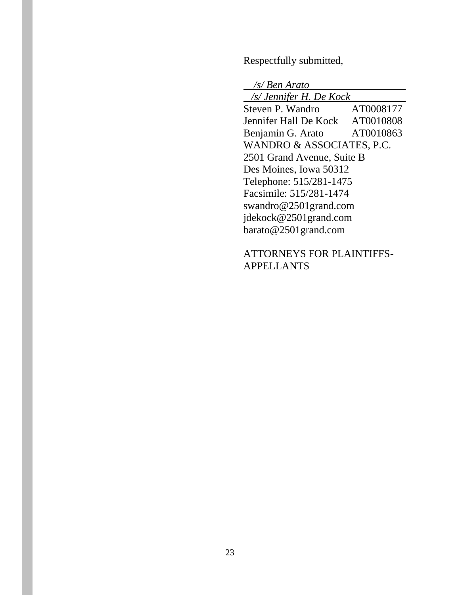Respectfully submitted,

 */s/ Ben Arato /s/ Jennifer H. De Kock*  Steven P. Wandro AT0008177 Jennifer Hall De Kock AT0010808 Benjamin G. Arato AT0010863 WANDRO & ASSOCIATES, P.C. 2501 Grand Avenue, Suite B Des Moines, Iowa 50312 Telephone: 515/281-1475 Facsimile: 515/281-1474 swandro@2501grand.com jdekock@2501grand.com barato@2501grand.com

ATTORNEYS FOR PLAINTIFFS-APPELLANTS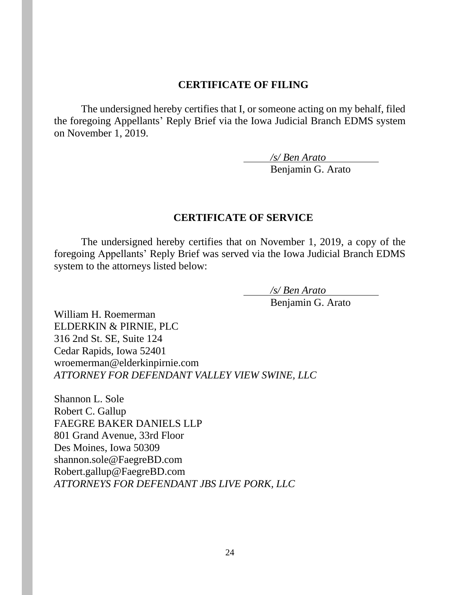## **CERTIFICATE OF FILING**

<span id="page-23-0"></span>The undersigned hereby certifies that I, or someone acting on my behalf, filed the foregoing Appellants' Reply Brief via the Iowa Judicial Branch EDMS system on November 1, 2019.

*/s/ Ben Arato*

Benjamin G. Arato

### <span id="page-23-1"></span>**CERTIFICATE OF SERVICE**

The undersigned hereby certifies that on November 1, 2019, a copy of the foregoing Appellants' Reply Brief was served via the Iowa Judicial Branch EDMS system to the attorneys listed below:

> */s/ Ben Arato* Benjamin G. Arato

William H. Roemerman ELDERKIN & PIRNIE, PLC 316 2nd St. SE, Suite 124 Cedar Rapids, Iowa 52401 wroemerman@elderkinpirnie.com *ATTORNEY FOR DEFENDANT VALLEY VIEW SWINE, LLC* 

Shannon L. Sole Robert C. Gallup FAEGRE BAKER DANIELS LLP 801 Grand Avenue, 33rd Floor Des Moines, Iowa 50309 shannon.sole@FaegreBD.com Robert.gallup@FaegreBD.com *ATTORNEYS FOR DEFENDANT JBS LIVE PORK, LLC*